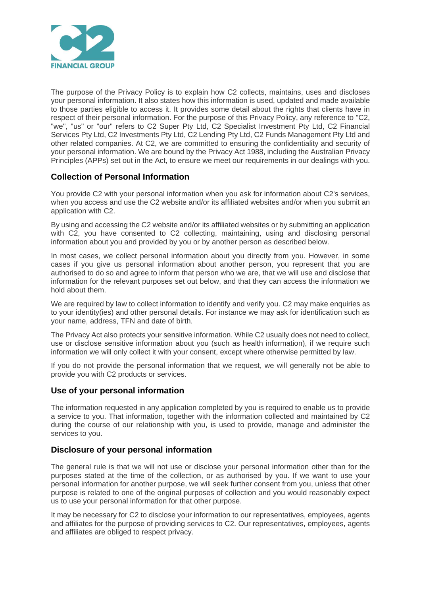

The purpose of the Privacy Policy is to explain how C2 collects, maintains, uses and discloses your personal information. It also states how this information is used, updated and made available to those parties eligible to access it. It provides some detail about the rights that clients have in respect of their personal information. For the purpose of this Privacy Policy, any reference to "C2, "we", "us" or "our" refers to C2 Super Pty Ltd, C2 Specialist Investment Pty Ltd, C2 Financial Services Pty Ltd, C2 Investments Pty Ltd, C2 Lending Pty Ltd, C2 Funds Management Pty Ltd and other related companies. At C2, we are committed to ensuring the confidentiality and security of your personal information. We are bound by the Privacy Act 1988, including the Australian Privacy Principles (APPs) set out in the Act, to ensure we meet our requirements in our dealings with you.

# **Collection of Personal Information**

You provide C2 with your personal information when you ask for information about C2's services, when you access and use the C2 website and/or its affiliated websites and/or when you submit an application with C2.

By using and accessing the C2 website and/or its affiliated websites or by submitting an application with C2, you have consented to C2 collecting, maintaining, using and disclosing personal information about you and provided by you or by another person as described below.

In most cases, we collect personal information about you directly from you. However, in some cases if you give us personal information about another person, you represent that you are authorised to do so and agree to inform that person who we are, that we will use and disclose that information for the relevant purposes set out below, and that they can access the information we hold about them.

We are required by law to collect information to identify and verify you. C2 may make enquiries as to your identity(ies) and other personal details. For instance we may ask for identification such as your name, address, TFN and date of birth.

The Privacy Act also protects your sensitive information. While C2 usually does not need to collect, use or disclose sensitive information about you (such as health information), if we require such information we will only collect it with your consent, except where otherwise permitted by law.

If you do not provide the personal information that we request, we will generally not be able to provide you with C2 products or services.

## **Use of your personal information**

The information requested in any application completed by you is required to enable us to provide a service to you. That information, together with the information collected and maintained by C2 during the course of our relationship with you, is used to provide, manage and administer the services to you.

## **Disclosure of your personal information**

The general rule is that we will not use or disclose your personal information other than for the purposes stated at the time of the collection, or as authorised by you. If we want to use your personal information for another purpose, we will seek further consent from you, unless that other purpose is related to one of the original purposes of collection and you would reasonably expect us to use your personal information for that other purpose.

It may be necessary for C2 to disclose your information to our representatives, employees, agents and affiliates for the purpose of providing services to C2. Our representatives, employees, agents and affiliates are obliged to respect privacy.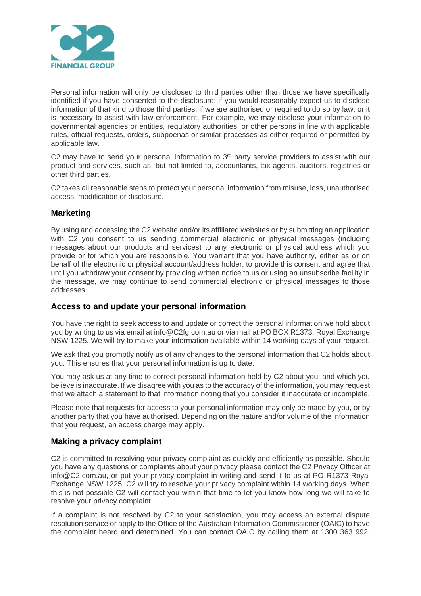

Personal information will only be disclosed to third parties other than those we have specifically identified if you have consented to the disclosure; if you would reasonably expect us to disclose information of that kind to those third parties; if we are authorised or required to do so by law; or it is necessary to assist with law enforcement. For example, we may disclose your information to governmental agencies or entities, regulatory authorities, or other persons in line with applicable rules, official requests, orders, subpoenas or similar processes as either required or permitted by applicable law.

C2 may have to send your personal information to  $3<sup>rd</sup>$  party service providers to assist with our product and services, such as, but not limited to, accountants, tax agents, auditors, registries or other third parties.

C2 takes all reasonable steps to protect your personal information from misuse, loss, unauthorised access, modification or disclosure.

### **Marketing**

By using and accessing the C2 website and/or its affiliated websites or by submitting an application with C2 you consent to us sending commercial electronic or physical messages (including messages about our products and services) to any electronic or physical address which you provide or for which you are responsible. You warrant that you have authority, either as or on behalf of the electronic or physical account/address holder, to provide this consent and agree that until you withdraw your consent by providing written notice to us or using an unsubscribe facility in the message, we may continue to send commercial electronic or physical messages to those addresses.

#### **Access to and update your personal information**

You have the right to seek access to and update or correct the personal information we hold about you by writing to us via email at info@C2fg.com.au or via mail at PO BOX R1373, Royal Exchange NSW 1225. We will try to make your information available within 14 working days of your request.

We ask that you promptly notify us of any changes to the personal information that C2 holds about you. This ensures that your personal information is up to date.

You may ask us at any time to correct personal information held by C2 about you, and which you believe is inaccurate. If we disagree with you as to the accuracy of the information, you may request that we attach a statement to that information noting that you consider it inaccurate or incomplete.

Please note that requests for access to your personal information may only be made by you, or by another party that you have authorised. Depending on the nature and/or volume of the information that you request, an access charge may apply.

#### **Making a privacy complaint**

C2 is committed to resolving your privacy complaint as quickly and efficiently as possible. Should you have any questions or complaints about your privacy please contact the C2 Privacy Officer at info@C2.com.au, or put your privacy complaint in writing and send it to us at PO R1373 Royal Exchange NSW 1225. C2 will try to resolve your privacy complaint within 14 working days. When this is not possible C2 will contact you within that time to let you know how long we will take to resolve your privacy complaint.

If a complaint is not resolved by C2 to your satisfaction, you may access an external dispute resolution service or apply to the Office of the Australian Information Commissioner (OAIC) to have the complaint heard and determined. You can contact OAIC by calling them at 1300 363 992,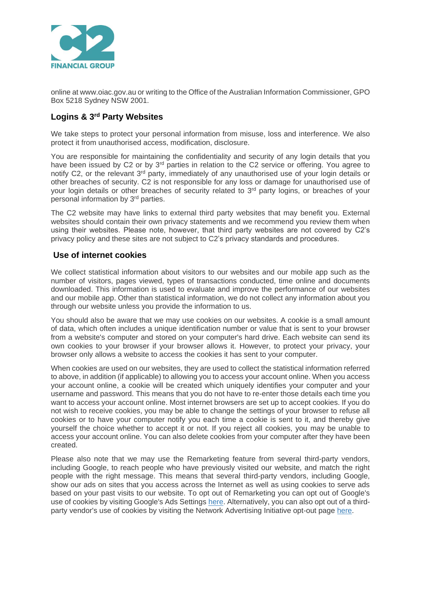

online at www.oiac.gov.au or writing to the Office of the Australian Information Commissioner, GPO Box 5218 Sydney NSW 2001.

# **Logins & 3rd Party Websites**

We take steps to protect your personal information from misuse, loss and interference. We also protect it from unauthorised access, modification, disclosure.

You are responsible for maintaining the confidentiality and security of any login details that you have been issued by C2 or by 3<sup>rd</sup> parties in relation to the C2 service or offering. You agree to notify C2, or the relevant 3<sup>rd</sup> party, immediately of any unauthorised use of your login details or other breaches of security. C2 is not responsible for any loss or damage for unauthorised use of your login details or other breaches of security related to 3<sup>rd</sup> party logins, or breaches of your personal information by 3rd parties.

The C2 website may have links to external third party websites that may benefit you. External websites should contain their own privacy statements and we recommend you review them when using their websites. Please note, however, that third party websites are not covered by C2's privacy policy and these sites are not subject to C2's privacy standards and procedures.

#### **Use of internet cookies**

We collect statistical information about visitors to our websites and our mobile app such as the number of visitors, pages viewed, types of transactions conducted, time online and documents downloaded. This information is used to evaluate and improve the performance of our websites and our mobile app. Other than statistical information, we do not collect any information about you through our website unless you provide the information to us.

You should also be aware that we may use cookies on our websites. A cookie is a small amount of data, which often includes a unique identification number or value that is sent to your browser from a website's computer and stored on your computer's hard drive. Each website can send its own cookies to your browser if your browser allows it. However, to protect your privacy, your browser only allows a website to access the cookies it has sent to your computer.

When cookies are used on our websites, they are used to collect the statistical information referred to above, in addition (if applicable) to allowing you to access your account online. When you access your account online, a cookie will be created which uniquely identifies your computer and your username and password. This means that you do not have to re-enter those details each time you want to access your account online. Most internet browsers are set up to accept cookies. If you do not wish to receive cookies, you may be able to change the settings of your browser to refuse all cookies or to have your computer notify you each time a cookie is sent to it, and thereby give yourself the choice whether to accept it or not. If you reject all cookies, you may be unable to access your account online. You can also delete cookies from your computer after they have been created.

Please also note that we may use the Remarketing feature from several third-party vendors, including Google, to reach people who have previously visited our website, and match the right people with the right message. This means that several third-party vendors, including Google, show our ads on sites that you access across the Internet as well as using cookies to serve ads based on your past visits to our website. To opt out of Remarketing you can opt out of Google's use of cookies by visiting Google's Ads Settings [here.](https://www.google.com/settings/u/0/ads/authenticated) Alternatively, you can also opt out of a thirdparty vendor's use of cookies by visiting the Network Advertising Initiative opt-out page [here.](http://www.networkadvertising.org/choices/)